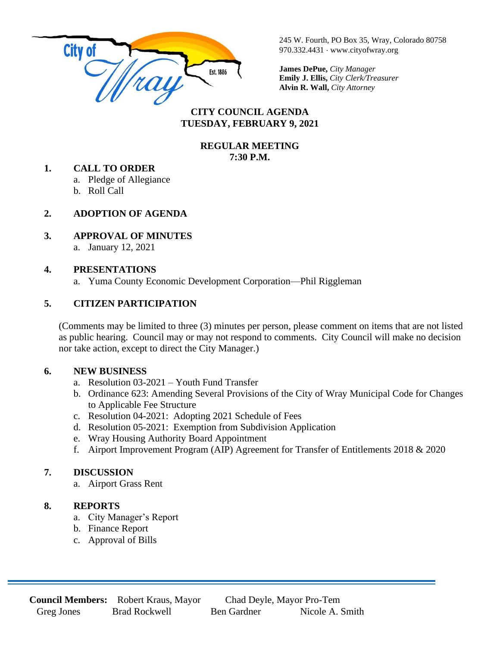

245 W. Fourth, PO Box 35, Wray, Colorado 80758 970.332.4431 www.cityofwray.org

**James DePue,** *City Manager* **Emily J. Ellis,** *City Clerk/Treasurer* **Alvin R. Wall,** *City Attorney*

## **CITY COUNCIL AGENDA TUESDAY, FEBRUARY 9, 2021**

#### **REGULAR MEETING 7:30 P.M.**

#### **1. CALL TO ORDER**

a. Pledge of Allegiance

b. Roll Call

# **2. ADOPTION OF AGENDA**

## **3. APPROVAL OF MINUTES**

a. January 12, 2021

## **4. PRESENTATIONS**

a. Yuma County Economic Development Corporation—Phil Riggleman

## **5. CITIZEN PARTICIPATION**

(Comments may be limited to three (3) minutes per person, please comment on items that are not listed as public hearing. Council may or may not respond to comments. City Council will make no decision nor take action, except to direct the City Manager.)

### **6. NEW BUSINESS**

- a. Resolution 03-2021 Youth Fund Transfer
- b. Ordinance 623: Amending Several Provisions of the City of Wray Municipal Code for Changes to Applicable Fee Structure
- c. Resolution 04-2021: Adopting 2021 Schedule of Fees
- d. Resolution 05-2021: Exemption from Subdivision Application
- e. Wray Housing Authority Board Appointment
- f. Airport Improvement Program (AIP) Agreement for Transfer of Entitlements 2018 & 2020

### **7. DISCUSSION**

a. Airport Grass Rent

### **8. REPORTS**

- a. City Manager's Report
- b. Finance Report
- c. Approval of Bills